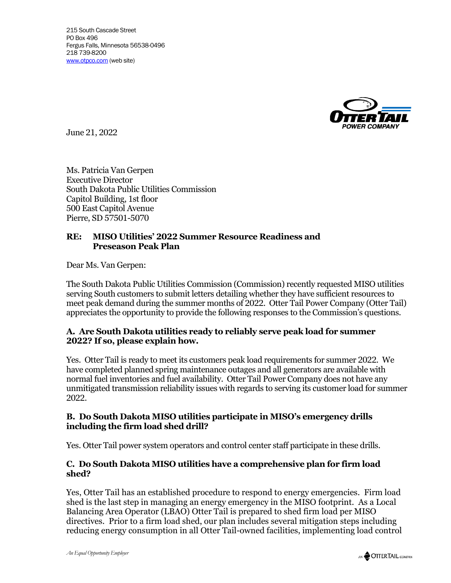

June 21, 2022

Ms. Patricia Van Gerpen Executive Director South Dakota Public Utilities Commission Capitol Building, 1st floor 500 East Capitol Avenue Pierre, SD 57501-5070

## **RE: MISO Utilities' 2022 Summer Resource Readiness and Preseason Peak Plan**

Dear Ms. Van Gerpen:

The South Dakota Public Utilities Commission (Commission) recently requested MISO utilities serving South customers to submit letters detailing whether they have sufficient resources to meet peak demand during the summer months of 2022. Otter Tail Power Company (Otter Tail) appreciates the opportunity to provide the following responses to the Commission's questions.

### **A. Are South Dakota utilities ready to reliably serve peak load for summer 2022? If so, please explain how.**

Yes. Otter Tail is ready to meet its customers peak load requirements for summer 2022. We have completed planned spring maintenance outages and all generators are available with normal fuel inventories and fuel availability. Otter Tail Power Company does not have any unmitigated transmission reliability issues with regards to serving its customer load for summer 2022.

### **B. Do South Dakota MISO utilities participate in MISO's emergency drills including the firm load shed drill?**

Yes. Otter Tail power system operators and control center staff participate in these drills.

### **C. Do South Dakota MISO utilities have a comprehensive plan for firm load shed?**

Yes, Otter Tail has an established procedure to respond to energy emergencies. Firm load shed is the last step in managing an energy emergency in the MISO footprint. As a Local Balancing Area Operator (LBAO) Otter Tail is prepared to shed firm load per MISO directives. Prior to a firm load shed, our plan includes several mitigation steps including reducing energy consumption in all Otter Tail-owned facilities, implementing load control